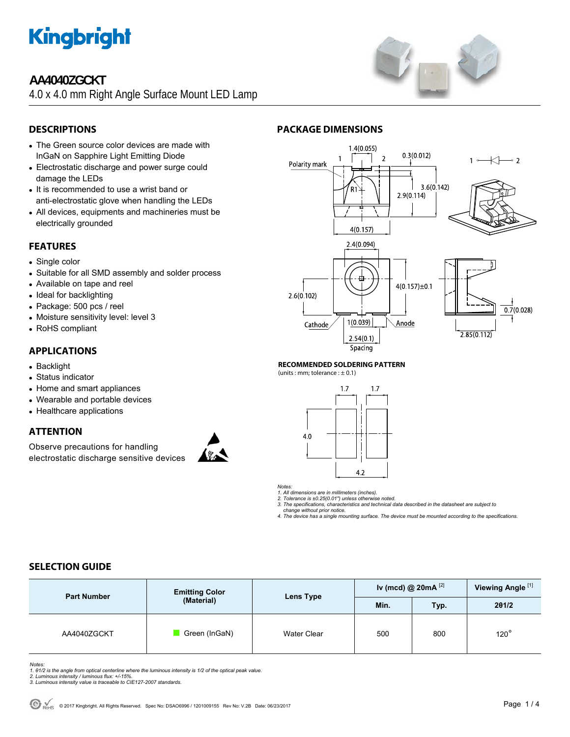

# **AA4040ZGCKT**

4.0 x 4.0 mm Right Angle Surface Mount LED Lamp



## **DESCRIPTIONS**

- The Green source color devices are made with InGaN on Sapphire Light Emitting Diode
- Electrostatic discharge and power surge could damage the LEDs
- It is recommended to use a wrist band or anti-electrostatic glove when handling the LEDs
- All devices, equipments and machineries must be electrically grounded

## **FEATURES**

- Single color
- Suitable for all SMD assembly and solder process
- Available on tape and reel
- Ideal for backlighting
- Package: 500 pcs / reel
- Moisture sensitivity level: level 3
- RoHS compliant

## **APPLICATIONS**

- Backlight
- Status indicator
- Home and smart appliances
- Wearable and portable devices
- Healthcare applications

## **ATTENTION**

Observe precautions for handling electrostatic discharge sensitive devices





### **RECOMMENDED SOLDERING PATTERN**

(units : mm; tolerance :  $\pm$  0.1)

**PACKAGE DIMENSIONS** 



*Notes:* 

*1. All dimensions are in millimeters (inches). 2. Tolerance is ±0.25(0.01") unless otherwise noted. 3. The specifications, characteristics and technical data described in the datasheet are subject to* 

 *change without prior notice. 4. The device has a single mounting surface. The device must be mounted according to the specifications.* 

# **SELECTION GUIDE**

| <b>Part Number</b> | <b>Emitting Color</b><br>(Material) | Lens Type   | Iv (mcd) @ $20mA$ <sup>[2]</sup> |      | Viewing Angle <sup>[1]</sup> |
|--------------------|-------------------------------------|-------------|----------------------------------|------|------------------------------|
|                    |                                     |             | Min.                             | Typ. | 201/2                        |
| AA4040ZGCKT        | Green (InGaN)                       | Water Clear | 500                              | 800  | $120^\circ$                  |

*Notes:* 

*1. θ1/2 is the angle from optical centerline where the luminous intensity is 1/2 of the optical peak value. 2. Luminous intensity / luminous flux: +/-15%.* 

- 
- *3. Luminous intensity value is traceable to CIE127-2007 standards.*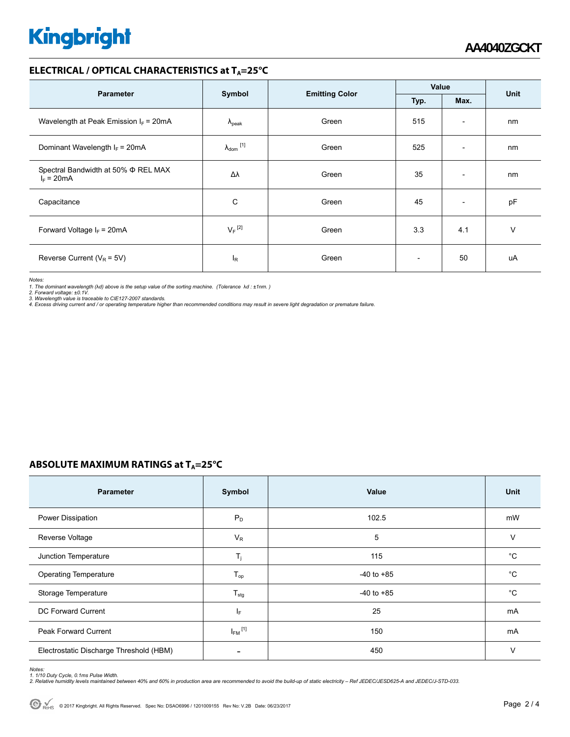# **Kingbright**

## **ELECTRICAL / OPTICAL CHARACTERISTICS at T<sub>A</sub>=25°C**

|                                                          |                                                 |       | Value                    |                          |    |
|----------------------------------------------------------|-------------------------------------------------|-------|--------------------------|--------------------------|----|
| <b>Parameter</b>                                         | Symbol<br><b>Emitting Color</b><br>Typ.<br>Max. |       | Unit                     |                          |    |
| Wavelength at Peak Emission $I_F$ = 20mA                 | $\lambda_{\rm peak}$                            | Green | 515                      | $\overline{\phantom{a}}$ | nm |
| Dominant Wavelength $I_F = 20 \text{mA}$                 | $\lambda_{\text{dom}}$ [1]                      | Green | 525                      | $\overline{\phantom{a}}$ | nm |
| Spectral Bandwidth at 50% $\Phi$ REL MAX<br>$I_F = 20mA$ | Δλ                                              | Green | 35                       | $\overline{\phantom{a}}$ | nm |
| Capacitance                                              | C                                               | Green | 45                       | $\overline{\phantom{a}}$ | pF |
| Forward Voltage $I_F$ = 20mA                             | $V_F$ <sup>[2]</sup>                            | Green | 3.3                      | 4.1                      | v  |
| Reverse Current ( $V_R$ = 5V)                            | l <sub>R</sub>                                  | Green | $\overline{\phantom{0}}$ | 50                       | uA |

*Notes:* 

1. The dominant wavelength (λd) above is the setup value of the sorting machine. (Tolerance λd : ±1nm. )<br>2. Forward voltage: ±0.1V.<br>3. Wavelength value is traceable to CIE127-2007 standards.<br>4. Excess driving current and /

## **ABSOLUTE MAXIMUM RATINGS at T<sub>A</sub>=25°C**

| <b>Parameter</b>                        | Symbol                  | Value          | <b>Unit</b>  |
|-----------------------------------------|-------------------------|----------------|--------------|
| Power Dissipation                       | $P_D$                   | 102.5          | mW           |
| Reverse Voltage                         | $V_R$                   | 5              | $\vee$       |
| Junction Temperature                    | $T_i$                   | 115            | $^{\circ}C$  |
| <b>Operating Temperature</b>            | $T_{op}$                | $-40$ to $+85$ | $^{\circ}C$  |
| Storage Temperature                     | $T_{\text{stg}}$        | $-40$ to $+85$ | $^{\circ}$ C |
| DC Forward Current                      | IF.                     | 25             | mA           |
| Peak Forward Current                    | $I_{FM}$ <sup>[1]</sup> | 150            | mA           |
| Electrostatic Discharge Threshold (HBM) |                         | 450            | $\vee$       |

Notes:<br>1. 1/10 Duty Cycle, 0.1ms Pulse Width.<br>2. Relative humidity levels maintained between 40% and 60% in production area are recommended to avoid the build-up of static electricity – Ref JEDEC/JESD625-A and JEDEC/J-STD-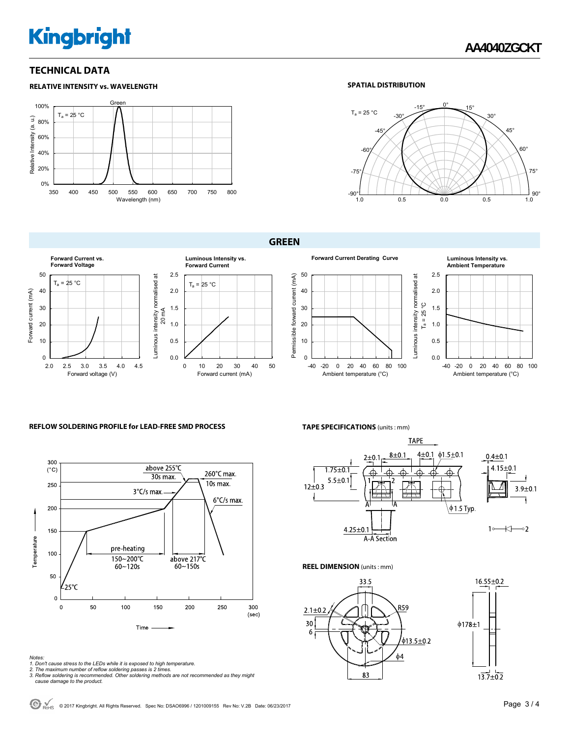# **Kingbright**

**RELATIVE INTENSITY vs. WAVELENGTH**

## **TECHNICAL DATA**

#### Gree 100%  $T_a = 25 °C$ Relative Intensity (a. u.) Relative Intensity (a. u.) 80% 60% 40% 20% 0% 350 400 450 500 550 600 650 700 750 800 Wavelength (nm)

### **SPATIAL DISTRIBUTION**



### **GREEN**







#### **REFLOW SOLDERING PROFILE for LEAD-FREE SMD PROCESS**



- 
- 
- Notes:<br>1. Don't cause stress to the LEDs while it is exposed to high temperature.<br>2. The maximum number of reflow soldering passes is 2 times.<br>3. Reflow soldering is recommended. Other soldering methods are not recommended

**TAPE SPECIFICATIONS** (units : mm)



Luminous intensity normalised at

Luminous intensity normalised at

**REEL DIMENSION** (units : mm)